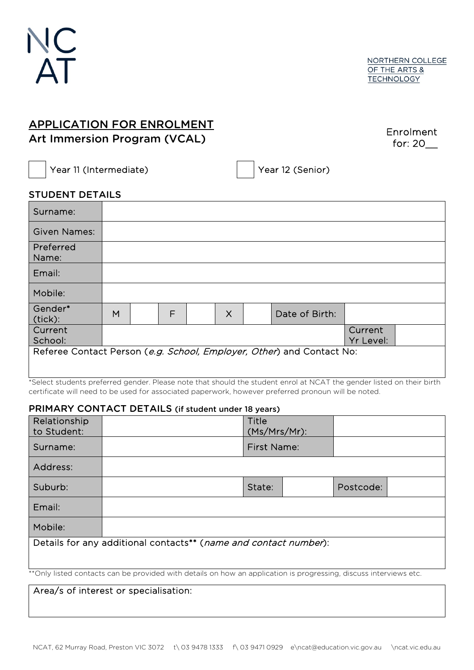

# APPLICATION FOR ENROLMENT Art Immersion Program (VCAL)

Enrolment for: 20\_\_

Year 11 (Intermediate) Year 12 (Senior)

### STUDENT DETAILS

| Surname:                                                              |   |   |  |          |  |                |           |  |
|-----------------------------------------------------------------------|---|---|--|----------|--|----------------|-----------|--|
| <b>Given Names:</b>                                                   |   |   |  |          |  |                |           |  |
| Preferred<br>Name:                                                    |   |   |  |          |  |                |           |  |
| Email:                                                                |   |   |  |          |  |                |           |  |
| Mobile:                                                               |   |   |  |          |  |                |           |  |
| Gender*<br>(tick):                                                    | M | F |  | $\times$ |  | Date of Birth: |           |  |
| Current                                                               |   |   |  |          |  |                | Current   |  |
| School:                                                               |   |   |  |          |  |                | Yr Level: |  |
| Referee Contact Person (e.g. School, Employer, Other) and Contact No: |   |   |  |          |  |                |           |  |
|                                                                       |   |   |  |          |  |                |           |  |

\*Select students preferred gender. Please note that should the student enrol at NCAT the gender listed on their birth certificate will need to be used for associated paperwork, however preferred pronoun will be noted.

#### PRIMARY CONTACT DETAILS (if student under 18 years)

| Relationship<br>to Student:                                                                                        |  | Title<br>(Ms/Mrs/Mr): |  |           |  |
|--------------------------------------------------------------------------------------------------------------------|--|-----------------------|--|-----------|--|
| Surname:                                                                                                           |  | <b>First Name:</b>    |  |           |  |
| Address:                                                                                                           |  |                       |  |           |  |
| Suburb:                                                                                                            |  | State:                |  | Postcode: |  |
| Email:                                                                                                             |  |                       |  |           |  |
| Mobile:                                                                                                            |  |                       |  |           |  |
| Details for any additional contacts** (name and contact number):                                                   |  |                       |  |           |  |
| ** Only listed contacts can be provided with details on how an application is progressing, discuss interviews etc. |  |                       |  |           |  |

Area/s of interest or specialisation: